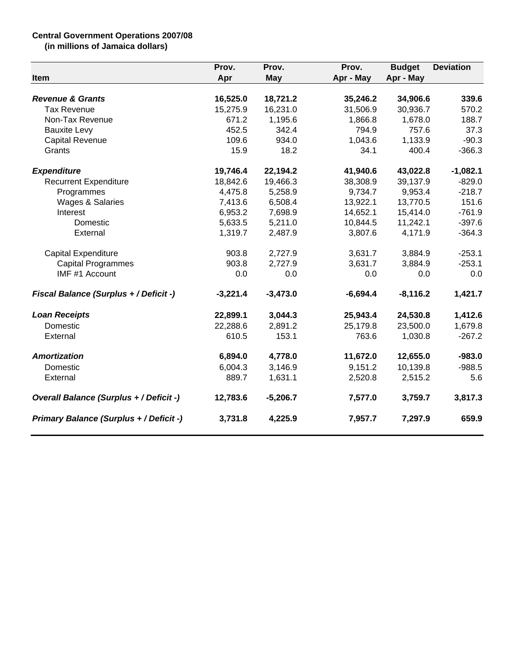## **Central Government Operations 2007/08**

**(in millions of Jamaica dollars)**

|                                         | Prov.      | Prov.      | Prov.      | <b>Budget</b> | <b>Deviation</b> |
|-----------------------------------------|------------|------------|------------|---------------|------------------|
| Item                                    | Apr        | <b>May</b> | Apr - May  | Apr - May     |                  |
| <b>Revenue &amp; Grants</b>             | 16,525.0   | 18,721.2   | 35,246.2   | 34,906.6      | 339.6            |
| <b>Tax Revenue</b>                      | 15,275.9   | 16,231.0   | 31,506.9   | 30,936.7      | 570.2            |
| Non-Tax Revenue                         | 671.2      | 1,195.6    | 1,866.8    | 1,678.0       | 188.7            |
| <b>Bauxite Levy</b>                     | 452.5      | 342.4      | 794.9      | 757.6         | 37.3             |
| <b>Capital Revenue</b>                  | 109.6      | 934.0      | 1,043.6    | 1,133.9       | $-90.3$          |
| Grants                                  | 15.9       | 18.2       | 34.1       | 400.4         | $-366.3$         |
| <b>Expenditure</b>                      | 19,746.4   | 22,194.2   | 41,940.6   | 43,022.8      | $-1,082.1$       |
| <b>Recurrent Expenditure</b>            | 18,842.6   | 19,466.3   | 38,308.9   | 39,137.9      | $-829.0$         |
| Programmes                              | 4,475.8    | 5,258.9    | 9,734.7    | 9,953.4       | $-218.7$         |
| Wages & Salaries                        | 7,413.6    | 6,508.4    | 13,922.1   | 13,770.5      | 151.6            |
| Interest                                | 6,953.2    | 7,698.9    | 14,652.1   | 15,414.0      | $-761.9$         |
| Domestic                                | 5,633.5    | 5,211.0    | 10,844.5   | 11,242.1      | $-397.6$         |
| External                                | 1,319.7    | 2,487.9    | 3,807.6    | 4,171.9       | $-364.3$         |
| Capital Expenditure                     | 903.8      | 2,727.9    | 3,631.7    | 3,884.9       | $-253.1$         |
| <b>Capital Programmes</b>               | 903.8      | 2,727.9    | 3,631.7    | 3,884.9       | $-253.1$         |
| IMF #1 Account                          | 0.0        | 0.0        | 0.0        | 0.0           | 0.0              |
| Fiscal Balance (Surplus + / Deficit -)  | $-3,221.4$ | $-3,473.0$ | $-6,694.4$ | $-8,116.2$    | 1,421.7          |
| <b>Loan Receipts</b>                    | 22,899.1   | 3,044.3    | 25,943.4   | 24,530.8      | 1,412.6          |
| Domestic                                | 22,288.6   | 2,891.2    | 25,179.8   | 23,500.0      | 1,679.8          |
| External                                | 610.5      | 153.1      | 763.6      | 1,030.8       | $-267.2$         |
| <b>Amortization</b>                     | 6,894.0    | 4,778.0    | 11,672.0   | 12,655.0      | $-983.0$         |
| Domestic                                | 6,004.3    | 3,146.9    | 9,151.2    | 10,139.8      | $-988.5$         |
| External                                | 889.7      | 1,631.1    | 2,520.8    | 2,515.2       | 5.6              |
| Overall Balance (Surplus + / Deficit -) | 12,783.6   | $-5,206.7$ | 7,577.0    | 3,759.7       | 3,817.3          |
| Primary Balance (Surplus + / Deficit -) | 3,731.8    | 4,225.9    | 7,957.7    | 7,297.9       | 659.9            |